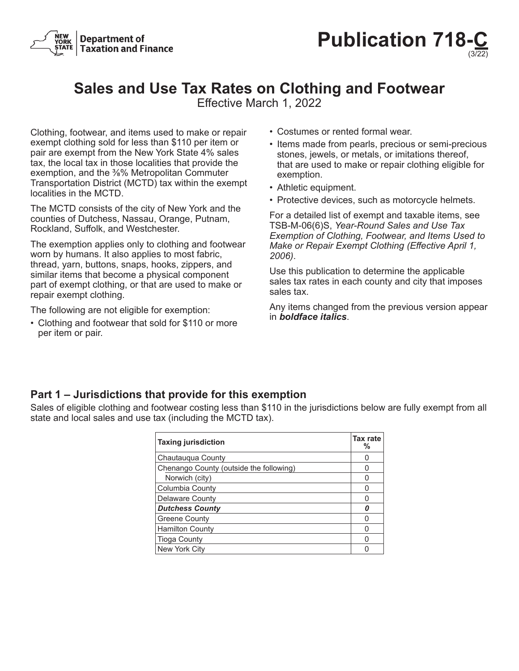



# **Sales and Use Tax Rates on Clothing and Footwear**

Effective March 1, 2022

Clothing, footwear, and items used to make or repair exempt clothing sold for less than \$110 per item or pair are exempt from the New York State 4% sales tax, the local tax in those localities that provide the exemption, and the ⅜% Metropolitan Commuter Transportation District (MCTD) tax within the exempt localities in the MCTD.

The MCTD consists of the city of New York and the counties of Dutchess, Nassau, Orange, Putnam, Rockland, Suffolk, and Westchester.

The exemption applies only to clothing and footwear worn by humans. It also applies to most fabric, thread, yarn, buttons, snaps, hooks, zippers, and similar items that become a physical component part of exempt clothing, or that are used to make or repair exempt clothing.

The following are not eligible for exemption:

• Clothing and footwear that sold for \$110 or more per item or pair.

- Costumes or rented formal wear.
- Items made from pearls, precious or semi-precious stones, jewels, or metals, or imitations thereof, that are used to make or repair clothing eligible for exemption.
- Athletic equipment.
- Protective devices, such as motorcycle helmets.

For a detailed list of exempt and taxable items, see TSB‑M‑06(6)S, *Year-Round Sales and Use Tax Exemption of Clothing, Footwear, and Items Used to Make or Repair Exempt Clothing (Effective April 1, 2006)*.

Use this publication to determine the applicable sales tax rates in each county and city that imposes sales tax.

Any items changed from the previous version appear in *boldface italics*.

### **Part 1 – Jurisdictions that provide for this exemption**

Sales of eligible clothing and footwear costing less than \$110 in the jurisdictions below are fully exempt from all state and local sales and use tax (including the MCTD tax).

| <b>Taxing jurisdiction</b>              | Tax rate<br>% |
|-----------------------------------------|---------------|
| Chautauqua County                       |               |
| Chenango County (outside the following) |               |
| Norwich (city)                          |               |
| Columbia County                         |               |
| <b>Delaware County</b>                  |               |
| <b>Dutchess County</b>                  |               |
| <b>Greene County</b>                    |               |
| <b>Hamilton County</b>                  |               |
| <b>Tioga County</b>                     |               |
| New York City                           |               |